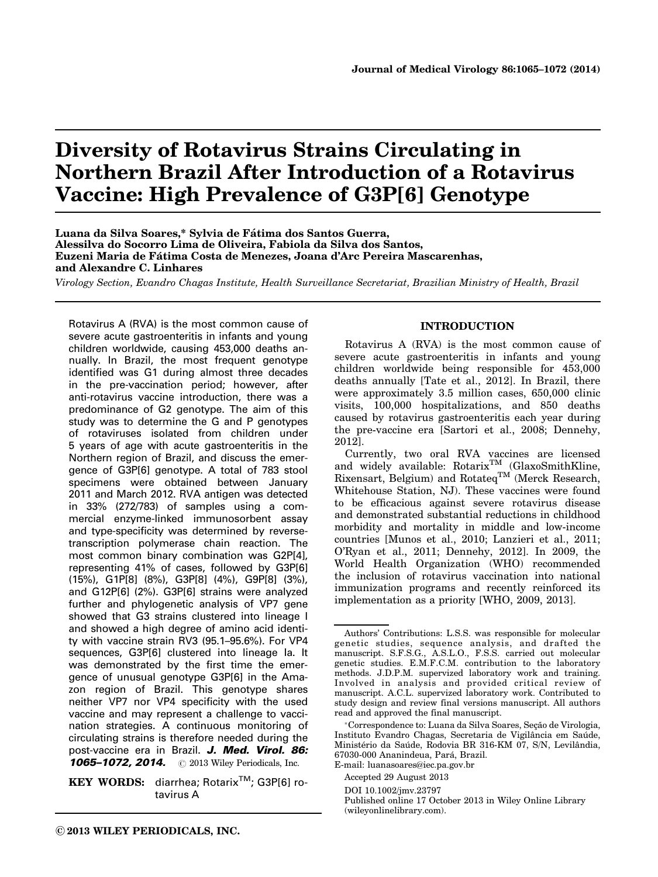# Diversity of Rotavirus Strains Circulating in Northern Brazil After Introduction of a Rotavirus Vaccine: High Prevalence of G3P[6] Genotype

Luana da Silva Soares,\* Sylvia de Fátima dos Santos Guerra, Alessilva do Socorro Lima de Oliveira, Fabiola da Silva dos Santos, Euzeni Maria de Fátima Costa de Menezes, Joana d'Arc Pereira Mascarenhas, and Alexandre C. Linhares

Virology Section, Evandro Chagas Institute, Health Surveillance Secretariat, Brazilian Ministry of Health, Brazil

Rotavirus A (RVA) is the most common cause of severe acute gastroenteritis in infants and young children worldwide, causing 453,000 deaths annually. In Brazil, the most frequent genotype identified was G1 during almost three decades in the pre-vaccination period; however, after anti-rotavirus vaccine introduction, there was a predominance of G2 genotype. The aim of this study was to determine the G and P genotypes of rotaviruses isolated from children under 5 years of age with acute gastroenteritis in the Northern region of Brazil, and discuss the emergence of G3P[6] genotype. A total of 783 stool specimens were obtained between January 2011 and March 2012. RVA antigen was detected in 33% (272/783) of samples using a commercial enzyme-linked immunosorbent assay and type-specificity was determined by reversetranscription polymerase chain reaction. The most common binary combination was G2P[4], representing 41% of cases, followed by G3P[6] (15%), G1P[8] (8%), G3P[8] (4%), G9P[8] (3%), and G12P[6] (2%). G3P[6] strains were analyzed further and phylogenetic analysis of VP7 gene showed that G3 strains clustered into lineage I and showed a high degree of amino acid identity with vaccine strain RV3 (95.1–95.6%). For VP4 sequences, G3P[6] clustered into lineage Ia. It was demonstrated by the first time the emergence of unusual genotype G3P[6] in the Amazon region of Brazil. This genotype shares neither VP7 nor VP4 specificity with the used vaccine and may represent a challenge to vaccination strategies. A continuous monitoring of circulating strains is therefore needed during the post-vaccine era in Brazil. J. Med. Virol. 86:

**1065–1072, 2014.** © 2013 Wiley Periodicals, Inc.

KEY WORDS: diarrhea; Rotarix<sup>™</sup>; G3P[6] rotavirus A

# INTRODUCTION

Rotavirus A (RVA) is the most common cause of severe acute gastroenteritis in infants and young children worldwide being responsible for 453,000 deaths annually [Tate et al., 2012]. In Brazil, there were approximately 3.5 million cases, 650,000 clinic visits, 100,000 hospitalizations, and 850 deaths caused by rotavirus gastroenteritis each year during the pre-vaccine era [Sartori et al., 2008; Dennehy, 2012].

Currently, two oral RVA vaccines are licensed and widely available:  $Rotarix^{TM}$  (GlaxoSmithKline, Rixensart, Belgium) and Rotateq<sup>TM</sup> (Merck Research, Whitehouse Station, NJ). These vaccines were found to be efficacious against severe rotavirus disease and demonstrated substantial reductions in childhood morbidity and mortality in middle and low-income countries [Munos et al., 2010; Lanzieri et al., 2011; O'Ryan et al., 2011; Dennehy, 2012]. In 2009, the World Health Organization (WHO) recommended the inclusion of rotavirus vaccination into national immunization programs and recently reinforced its implementation as a priority [WHO, 2009, 2013].

E-mail: luanasoares@iec.pa.gov.br

Accepted 29 August 2013

DOI 10.1002/jmv.23797

Authors' Contributions: L.S.S. was responsible for molecular genetic studies, sequence analysis, and drafted the manuscript. S.F.S.G., A.S.L.O., F.S.S. carried out molecular genetic studies. E.M.F.C.M. contribution to the laboratory methods. J.D.P.M. supervized laboratory work and training. Involved in analysis and provided critical review of manuscript. A.C.L. supervized laboratory work. Contributed to study design and review final versions manuscript. All authors read and approved the final manuscript.

<sup>\*</sup>Correspondence to: Luana da Silva Soares, Seção de Virologia, Instituto Evandro Chagas, Secretaria de Vigilância em Saúde, Ministério da Saúde, Rodovia BR 316-KM 07, S/N, Levilândia, 67030-000 Ananindeua, Para´, Brazil.

Published online 17 October 2013 in Wiley Online Library (wileyonlinelibrary.com).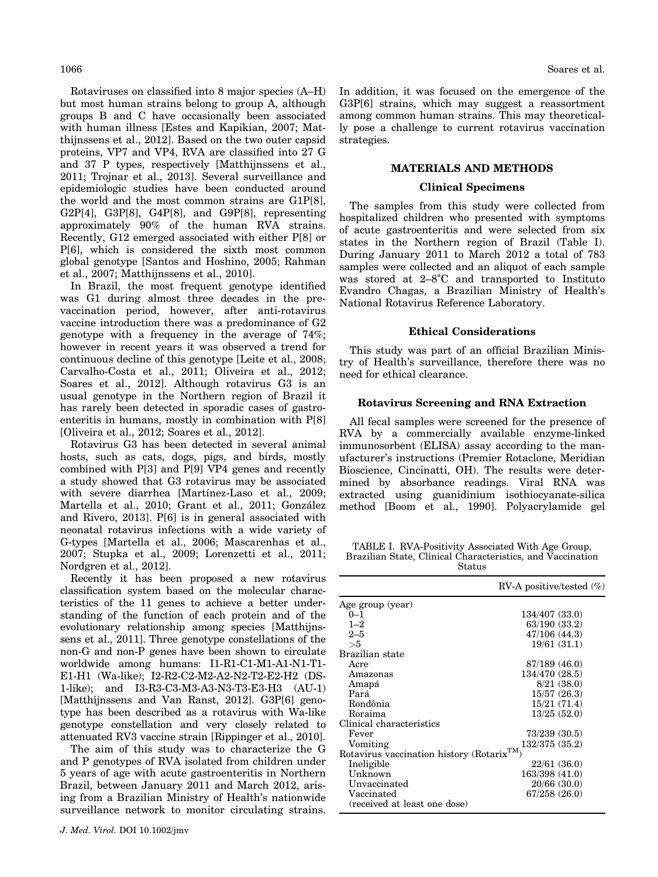Rotaviruses on classified into 8 major species (A–H) but most human strains belong to group A, although groups B and C have occasionally been associated with human illness [Estes and Kapikian, 2007; Matthijnssens et al., 2012]. Based on the two outer capsid proteins, VP7 and VP4, RVA are classified into 27 G and 37 P types, respectively [Matthijnssens et al., 2011; Trojnar et al., 2013]. Several surveillance and epidemiologic studies have been conducted around the world and the most common strains are G1P[8], G2P[4], G3P[8], G4P[8], and G9P[8], representing approximately 90% of the human RVA strains. Recently, G12 emerged associated with either P[8] or P[6], which is considered the sixth most common global genotype [Santos and Hoshino, 2005; Rahman et al., 2007; Matthijnssens et al., 2010].

In Brazil, the most frequent genotype identified was G1 during almost three decades in the prevaccination period, however, after anti-rotavirus vaccine introduction there was a predominance of G2 genotype with a frequency in the average of 74%; however in recent years it was observed a trend for continuous decline of this genotype [Leite et al., 2008; Carvalho-Costa et al., 2011; Oliveira et al., 2012; Soares et al., 2012]. Although rotavirus G3 is an usual genotype in the Northern region of Brazil it has rarely been detected in sporadic cases of gastroenteritis in humans, mostly in combination with P[8] [Oliveira et al., 2012; Soares et al., 2012].

Rotavirus G3 has been detected in several animal hosts, such as cats, dogs, pigs, and birds, mostly combined with P[3] and P[9] VP4 genes and recently a study showed that G3 rotavirus may be associated with severe diarrhea [Martínez-Laso et al., 2009; Martella et al., 2010; Grant et al., 2011; González and Rivero, 2013]. P[6] is in general associated with neonatal rotavirus infections with a wide variety of G-types [Martella et al., 2006; Mascarenhas et al., 2007; Stupka et al., 2009; Lorenzetti et al., 2011; Nordgren et al., 2012].

Recently it has been proposed a new rotavirus classification system based on the molecular characteristics of the 11 genes to achieve a better understanding of the function of each protein and of the evolutionary relationship among species [Matthijnssens et al., 2011]. Three genotype constellations of the non-G and non-P genes have been shown to circulate worldwide among humans: I1-R1-C1-M1-A1-N1-T1- E1-H1 (Wa-like); I2-R2-C2-M2-A2-N2-T2-E2-H2 (DS-1-like); and I3-R3-C3-M3-A3-N3-T3-E3-H3 (AU-1) [Matthijnssens and Van Ranst, 2012]. G3P[6] genotype has been described as a rotavirus with Wa-like genotype constellation and very closely related to attenuated RV3 vaccine strain [Rippinger et al., 2010].

The aim of this study was to characterize the G and P genotypes of RVA isolated from children under 5 years of age with acute gastroenteritis in Northern Brazil, between January 2011 and March 2012, arising from a Brazilian Ministry of Health's nationwide surveillance network to monitor circulating strains. In addition, it was focused on the emergence of the G3P[6] strains, which may suggest a reassortment among common human strains. This may theoretically pose a challenge to current rotavirus vaccination strategies.

# MATERIALS AND METHODS

# Clinical Specimens

The samples from this study were collected from hospitalized children who presented with symptoms of acute gastroenteritis and were selected from six states in the Northern region of Brazil (Table I). During January 2011 to March 2012 a total of 783 samples were collected and an aliquot of each sample was stored at 2–8˚C and transported to Instituto Evandro Chagas, a Brazilian Ministry of Health's National Rotavirus Reference Laboratory.

#### Ethical Considerations

This study was part of an official Brazilian Ministry of Health's surveillance, therefore there was no need for ethical clearance.

#### Rotavirus Screening and RNA Extraction

All fecal samples were screened for the presence of RVA by a commercially available enzyme-linked immunosorbent (ELISA) assay according to the manufacturer's instructions (Premier Rotaclone, Meridian Bioscience, Cincinatti, OH). The results were determined by absorbance readings. Viral RNA was extracted using guanidinium isothiocyanate-silica method [Boom et al., 1990]. Polyacrylamide gel

TABLE I. RVA-Positivity Associated With Age Group, Brazilian State, Clinical Characteristics, and Vaccination Status

|                                                        | RV-A positive/tested $(\%)$ |
|--------------------------------------------------------|-----------------------------|
| Age group (year)                                       |                             |
| $0 - 1$                                                | 134/407 (33.0)              |
| $1 - 2$                                                | 63/190 (33.2)               |
| $2 - 5$                                                | 47/106 (44.3)               |
| >5                                                     | 19/61 (31.1)                |
| Brazilian state                                        |                             |
| Acre                                                   | 87/189 (46.0)               |
| Amazonas                                               | 134/470 (28.5)              |
| Amapá                                                  | 8/21(38.0)                  |
| Pará                                                   | 15/57(26.3)                 |
| Rondônia                                               | 15/21(71.4)                 |
| Roraima                                                | 13/25(52.0)                 |
| Clinical characteristics                               |                             |
| Fever                                                  | 73/239(30.5)                |
| Vomiting                                               | 132/375 (35.2)              |
| Rotavirus vaccination history (Rotarix <sup>TM</sup> ) |                             |
| Ineligible                                             | 22/61(36.0)                 |
| Unknown                                                | 163/398 (41.0)              |
| Unvaccinated                                           | 20/66(30.0)                 |
| Vaccinated                                             | 67/258 (26.0)               |
| (received at least one dose)                           |                             |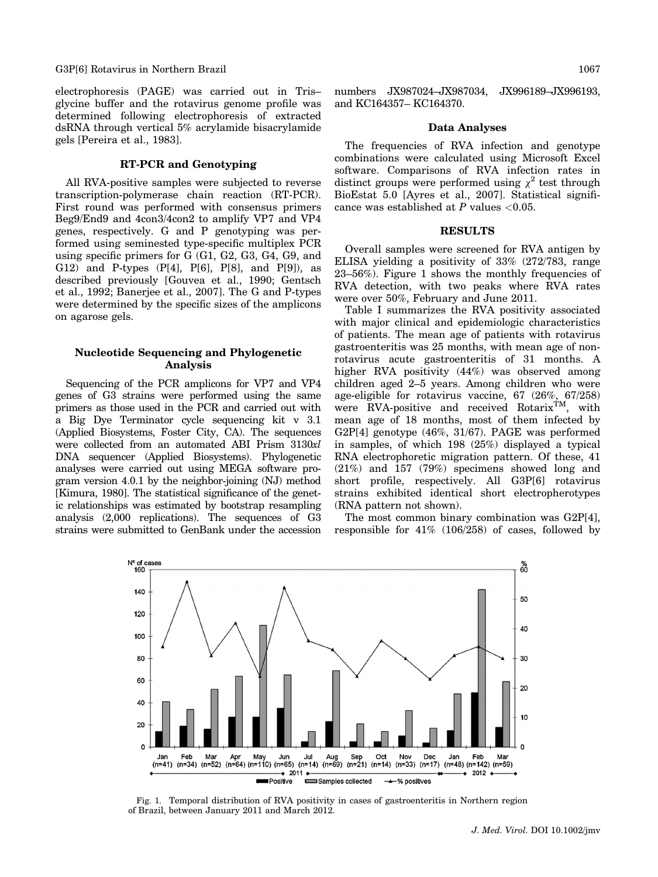#### G3P[6] Rotavirus in Northern Brazil 1067 (1067) and the state of the state of the state of the state of the state of the state of the state of the state of the state of the state of the state of the state of the state of t

electrophoresis (PAGE) was carried out in Tris– glycine buffer and the rotavirus genome profile was determined following electrophoresis of extracted dsRNA through vertical 5% acrylamide bisacrylamide gels [Pereira et al., 1983].

# RT-PCR and Genotyping

All RVA-positive samples were subjected to reverse transcription-polymerase chain reaction (RT-PCR). First round was performed with consensus primers Beg9/End9 and 4con3/4con2 to amplify VP7 and VP4 genes, respectively. G and P genotyping was performed using seminested type-specific multiplex PCR using specific primers for G (G1, G2, G3, G4, G9, and G12) and P-types (P[4], P[6], P[8], and P[9]), as described previously [Gouvea et al., 1990; Gentsch et al., 1992; Banerjee et al., 2007]. The G and P-types were determined by the specific sizes of the amplicons on agarose gels.

### Nucleotide Sequencing and Phylogenetic Analysis

Sequencing of the PCR amplicons for VP7 and VP4 genes of G3 strains were performed using the same primers as those used in the PCR and carried out with a Big Dye Terminator cycle sequencing kit v 3.1 (Applied Biosystems, Foster City, CA). The sequences were collected from an automated ABI Prism 3130xl DNA sequencer (Applied Biosystems). Phylogenetic analyses were carried out using MEGA software program version 4.0.1 by the neighbor-joining (NJ) method [Kimura, 1980]. The statistical significance of the genetic relationships was estimated by bootstrap resampling analysis (2,000 replications). The sequences of G3 strains were submitted to GenBank under the accession numbers JX987024–JX987034, JX996189–JX996193, and KC164357– KC164370.

#### Data Analyses

The frequencies of RVA infection and genotype combinations were calculated using Microsoft Excel software. Comparisons of RVA infection rates in distinct groups were performed using  $\chi^2$  test through BioEstat 5.0 [Ayres et al., 2007]. Statistical significance was established at  $P$  values  $<0.05$ .

#### **RESULTS**

Overall samples were screened for RVA antigen by ELISA yielding a positivity of 33% (272/783, range 23–56%). Figure 1 shows the monthly frequencies of RVA detection, with two peaks where RVA rates were over 50%, February and June 2011.

Table I summarizes the RVA positivity associated with major clinical and epidemiologic characteristics of patients. The mean age of patients with rotavirus gastroenteritis was 25 months, with mean age of nonrotavirus acute gastroenteritis of 31 months. A higher RVA positivity (44%) was observed among children aged 2–5 years. Among children who were age-eligible for rotavirus vaccine, 67 (26%, 67/258) were RVA-positive and received Rotarix<sup>TM</sup>, with mean age of 18 months, most of them infected by G2P[4] genotype (46%, 31/67). PAGE was performed in samples, of which 198 (25%) displayed a typical RNA electrophoretic migration pattern. Of these, 41 (21%) and 157 (79%) specimens showed long and short profile, respectively. All G3P[6] rotavirus strains exhibited identical short electropherotypes (RNA pattern not shown).

The most common binary combination was G2P[4], responsible for 41% (106/258) of cases, followed by



Fig. 1. Temporal distribution of RVA positivity in cases of gastroenteritis in Northern region of Brazil, between January 2011 and March 2012.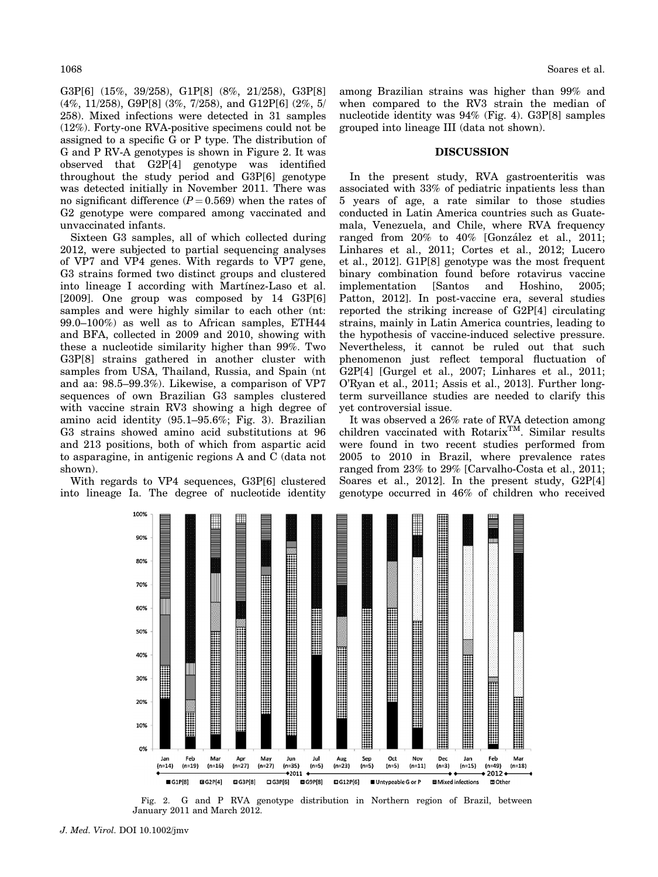G3P[6] (15%, 39/258), G1P[8] (8%, 21/258), G3P[8] (4%, 11/258), G9P[8] (3%, 7/258), and G12P[6] (2%, 5/ 258). Mixed infections were detected in 31 samples (12%). Forty-one RVA-positive specimens could not be assigned to a specific G or P type. The distribution of G and P RV-A genotypes is shown in Figure 2. It was observed that G2P[4] genotype was identified throughout the study period and G3P[6] genotype was detected initially in November 2011. There was no significant difference  $(P = 0.569)$  when the rates of G2 genotype were compared among vaccinated and unvaccinated infants.

Sixteen G3 samples, all of which collected during 2012, were subjected to partial sequencing analyses of VP7 and VP4 genes. With regards to VP7 gene, G3 strains formed two distinct groups and clustered into lineage I according with Martinez-Laso et al. [2009]. One group was composed by 14 G3P[6] samples and were highly similar to each other (nt: 99.0–100%) as well as to African samples, ETH44 and BFA, collected in 2009 and 2010, showing with these a nucleotide similarity higher than 99%. Two G3P[8] strains gathered in another cluster with samples from USA, Thailand, Russia, and Spain (nt and aa: 98.5–99.3%). Likewise, a comparison of VP7 sequences of own Brazilian G3 samples clustered with vaccine strain RV3 showing a high degree of amino acid identity (95.1–95.6%; Fig. 3). Brazilian G3 strains showed amino acid substitutions at 96 and 213 positions, both of which from aspartic acid to asparagine, in antigenic regions A and C (data not shown).

With regards to VP4 sequences, G3P[6] clustered into lineage Ia. The degree of nucleotide identity

among Brazilian strains was higher than 99% and when compared to the RV3 strain the median of nucleotide identity was 94% (Fig. 4). G3P[8] samples grouped into lineage III (data not shown).

#### DISCUSSION

In the present study, RVA gastroenteritis was associated with 33% of pediatric inpatients less than 5 years of age, a rate similar to those studies conducted in Latin America countries such as Guatemala, Venezuela, and Chile, where RVA frequency ranged from  $20\%$  to  $40\%$  [González et al., 2011; Linhares et al., 2011; Cortes et al., 2012; Lucero et al., 2012]. G1P[8] genotype was the most frequent binary combination found before rotavirus vaccine implementation [Santos and Hoshino, 2005; Patton, 2012]. In post-vaccine era, several studies reported the striking increase of G2P[4] circulating strains, mainly in Latin America countries, leading to the hypothesis of vaccine-induced selective pressure. Nevertheless, it cannot be ruled out that such phenomenon just reflect temporal fluctuation of G2P[4] [Gurgel et al., 2007; Linhares et al., 2011; O'Ryan et al., 2011; Assis et al., 2013]. Further longterm surveillance studies are needed to clarify this yet controversial issue.

It was observed a 26% rate of RVA detection among children vaccinated with Rotarix<sup>TM</sup>. Similar results were found in two recent studies performed from 2005 to 2010 in Brazil, where prevalence rates ranged from 23% to 29% [Carvalho-Costa et al., 2011; Soares et al., 2012]. In the present study, G2P[4] genotype occurred in 46% of children who received



Fig. 2. G and P RVA genotype distribution in Northern region of Brazil, between January 2011 and March 2012.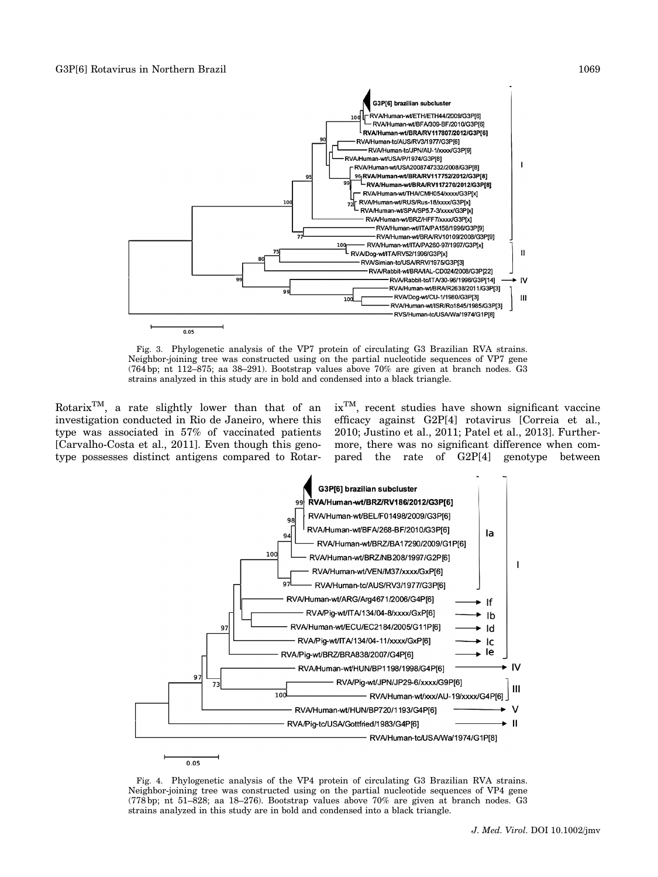

Fig. 3. Phylogenetic analysis of the VP7 protein of circulating G3 Brazilian RVA strains. Neighbor-joining tree was constructed using on the partial nucleotide sequences of VP7 gene (764 bp; nt 112–875; aa 38–291). Bootstrap values above 70% are given at branch nodes. G3 strains analyzed in this study are in bold and condensed into a black triangle.

Rotarix<sup>TM</sup>, a rate slightly lower than that of an investigation conducted in Rio de Janeiro, where this type was associated in 57% of vaccinated patients [Carvalho-Costa et al., 2011]. Even though this genotype possesses distinct antigens compared to RotarixTM, recent studies have shown significant vaccine efficacy against G2P[4] rotavirus [Correia et al., 2010; Justino et al., 2011; Patel et al., 2013]. Furthermore, there was no significant difference when compared the rate of G2P[4] genotype between



Fig. 4. Phylogenetic analysis of the VP4 protein of circulating G3 Brazilian RVA strains. Neighbor-joining tree was constructed using on the partial nucleotide sequences of VP4 gene (778 bp; nt 51–828; aa 18–276). Bootstrap values above 70% are given at branch nodes. G3 strains analyzed in this study are in bold and condensed into a black triangle.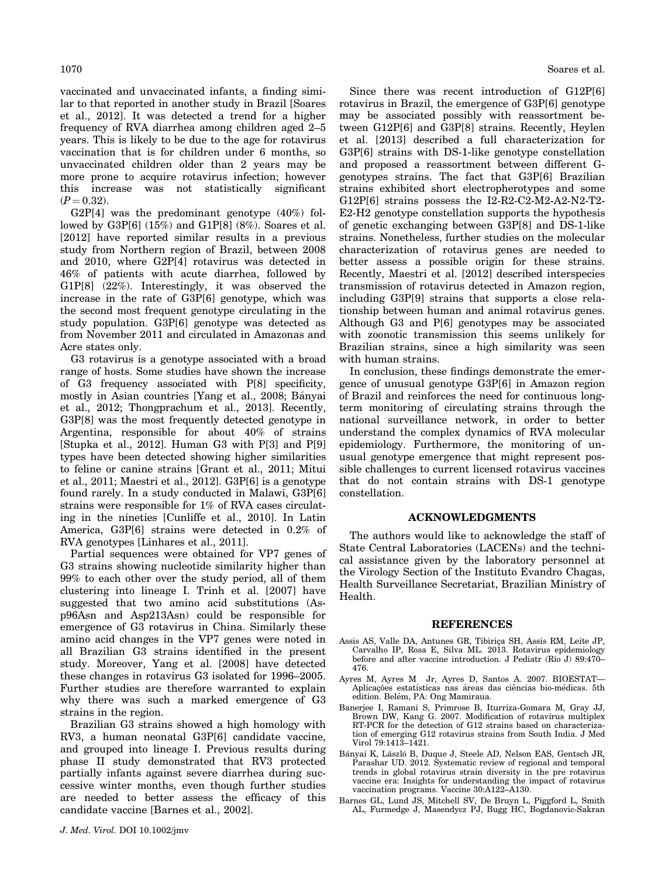vaccinated and unvaccinated infants, a finding similar to that reported in another study in Brazil [Soares et al., 2012]. It was detected a trend for a higher frequency of RVA diarrhea among children aged 2–5 years. This is likely to be due to the age for rotavirus vaccination that is for children under 6 months, so unvaccinated children older than 2 years may be more prone to acquire rotavirus infection; however this increase was not statistically significant  $(P = 0.32)$ .

G2P[4] was the predominant genotype (40%) followed by G3P[6] (15%) and G1P[8] (8%). Soares et al. [2012] have reported similar results in a previous study from Northern region of Brazil, between 2008 and 2010, where G2P[4] rotavirus was detected in 46% of patients with acute diarrhea, followed by G1P[8] (22%). Interestingly, it was observed the increase in the rate of G3P[6] genotype, which was the second most frequent genotype circulating in the study population. G3P[6] genotype was detected as from November 2011 and circulated in Amazonas and Acre states only.

G3 rotavirus is a genotype associated with a broad range of hosts. Some studies have shown the increase of G3 frequency associated with P[8] specificity, mostly in Asian countries [Yang et al., 2008; Bányai et al., 2012; Thongprachum et al., 2013]. Recently, G3P[8] was the most frequently detected genotype in Argentina, responsible for about 40% of strains [Stupka et al., 2012]. Human G3 with P[3] and P[9] types have been detected showing higher similarities to feline or canine strains [Grant et al., 2011; Mitui et al., 2011; Maestri et al., 2012]. G3P[6] is a genotype found rarely. In a study conducted in Malawi, G3P[6] strains were responsible for 1% of RVA cases circulating in the nineties [Cunliffe et al., 2010]. In Latin America, G3P[6] strains were detected in 0.2% of RVA genotypes [Linhares et al., 2011].

Partial sequences were obtained for VP7 genes of G3 strains showing nucleotide similarity higher than 99% to each other over the study period, all of them clustering into lineage I. Trinh et al. [2007] have suggested that two amino acid substitutions (Asp96Asn and Asp213Asn) could be responsible for emergence of G3 rotavirus in China. Similarly these amino acid changes in the VP7 genes were noted in all Brazilian G3 strains identified in the present study. Moreover, Yang et al. [2008] have detected these changes in rotavirus G3 isolated for 1996–2005. Further studies are therefore warranted to explain why there was such a marked emergence of G3 strains in the region.

Brazilian G3 strains showed a high homology with RV3, a human neonatal G3P[6] candidate vaccine, and grouped into lineage I. Previous results during phase II study demonstrated that RV3 protected partially infants against severe diarrhea during successive winter months, even though further studies are needed to better assess the efficacy of this candidate vaccine [Barnes et al., 2002].

Since there was recent introduction of G12P[6] rotavirus in Brazil, the emergence of G3P[6] genotype may be associated possibly with reassortment between G12P[6] and G3P[8] strains. Recently, Heylen et al. [2013] described a full characterization for G3P[6] strains with DS-1-like genotype constellation and proposed a reassortment between different Ggenotypes strains. The fact that G3P[6] Brazilian strains exhibited short electropherotypes and some G12P[6] strains possess the I2-R2-C2-M2-A2-N2-T2- E2-H2 genotype constellation supports the hypothesis of genetic exchanging between G3P[8] and DS-1-like strains. Nonetheless, further studies on the molecular characterization of rotavirus genes are needed to better assess a possible origin for these strains. Recently, Maestri et al. [2012] described interspecies transmission of rotavirus detected in Amazon region, including G3P[9] strains that supports a close relationship between human and animal rotavirus genes. Although G3 and P[6] genotypes may be associated with zoonotic transmission this seems unlikely for Brazilian strains, since a high similarity was seen with human strains.

In conclusion, these findings demonstrate the emergence of unusual genotype G3P[6] in Amazon region of Brazil and reinforces the need for continuous longterm monitoring of circulating strains through the national surveillance network, in order to better understand the complex dynamics of RVA molecular epidemiology. Furthermore, the monitoring of unusual genotype emergence that might represent possible challenges to current licensed rotavirus vaccines that do not contain strains with DS-1 genotype constellation.

## ACKNOWLEDGMENTS

The authors would like to acknowledge the staff of State Central Laboratories (LACENs) and the technical assistance given by the laboratory personnel at the Virology Section of the Instituto Evandro Chagas, Health Surveillance Secretariat, Brazilian Ministry of Health.

#### REFERENCES

- Assis AS, Valle DA, Antunes GR, Tibirica SH, Assis RM, Leite JP, Carvalho IP, Rosa E, Silva ML. 2013. Rotavirus epidemiology before and after vaccine introduction. J Pediatr (Rio J) 89:470– 476.
- Ayres M, Ayres M Jr, Ayres D, Santos A. 2007. BIOESTAT— Aplicações estatísticas nas áreas das ciências bio-médicas. 5th edition. Belém, PA: Ong Mamiraua.
- Banerjee I, Ramani S, Primrose B, Iturriza-Gomara M, Gray JJ, Brown DW, Kang G. 2007. Modification of rotavirus multiplex RT-PCR for the detection of G12 strains based on characterization of emerging G12 rotavirus strains from South India. J Med Virol 79:1413–1421.
- Bányai K, László B, Duque J, Steele AD, Nelson EAS, Gentsch JR, Parashar UD. 2012. Systematic review of regional and temporal trends in global rotavirus strain diversity in the pre rotavirus vaccine era: Insights for understanding the impact of rotavirus vaccination programs. Vaccine 30:A122–A130.
- Barnes GL, Lund JS, Mitchell SV, De Bruyn L, Piggford L, Smith AL, Furmedge J, Masendycz PJ, Bugg HC, Bogdanovic-Sakran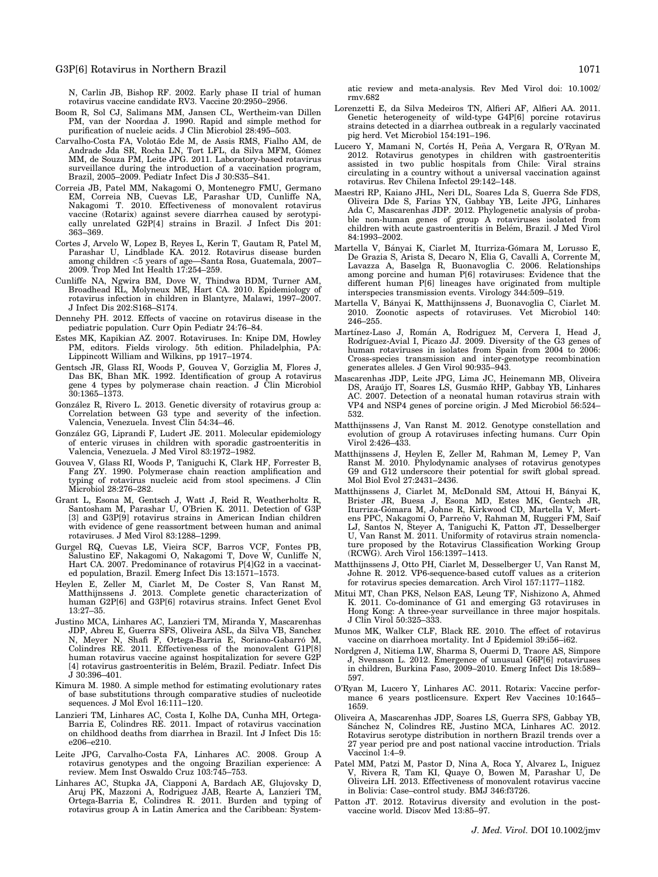#### G3P[6] Rotavirus in Northern Brazil 1071 1071

N, Carlin JB, Bishop RF. 2002. Early phase II trial of human rotavirus vaccine candidate RV3. Vaccine 20:2950–2956.

- Boom R, Sol CJ, Salimans MM, Jansen CL, Wertheim-van Dillen PM, van der Noordaa J. 1990. Rapid and simple method for purification of nucleic acids. J Clin Microbiol 28:495–503.
- Carvalho-Costa FA, Volotão Ede M, de Assis RMS, Fialho AM, de Andrade Jda SR, Rocha LN, Tort LFL, da Silva MFM, Gómez<br>MM, de Souza PM, Leite JPG. 2011. Laboratory-based rotavirus surveillance during the introduction of a vaccination program, Brazil, 2005–2009. Pediatr Infect Dis J 30:S35–S41.
- Correia JB, Patel MM, Nakagomi O, Montenegro FMU, Germano EM, Correia NB, Cuevas LE, Parashar UD, Cunliffe NA, Nakagomi T. 2010. Effectiveness of monovalent rotavirus vaccine (Rotarix) against severe diarrhea caused by serotypically unrelated G2P[4] strains in Brazil. J Infect Dis 201: 363–369.
- Cortes J, Arvelo W, Lopez B, Reyes L, Kerin T, Gautam R, Patel M, Parashar U, Lindblade KA. 2012. Rotavirus disease burden among children <5 years of age—Santa Rosa, Guatemala, 2007– 2009. Trop Med Int Health 17:254–259.
- Cunliffe NA, Ngwira BM, Dove W, Thindwa BDM, Turner AM, Broadhead RL, Molyneux ME, Hart CA. 2010. Epidemiology of rotavirus infection in children in Blantyre, Malawi, 1997–2007. J Infect Dis 202:S168–S174.
- Dennehy PH. 2012. Effects of vaccine on rotavirus disease in the pediatric population. Curr Opin Pediatr 24:76–84.
- Estes MK, Kapikian AZ. 2007. Rotaviruses. In: Knipe DM, Howley PM, editors. Fields virology. 5th edition. Philadelphia, PA: Lippincott William and Wilkins, pp 1917–1974.
- Gentsch JR, Glass RI, Woods P, Gouvea V, Gorziglia M, Flores J, Das BK, Bhan MK. 1992. Identification of group A rotavirus gene 4 types by polymerase chain reaction. J Clin Microbiol 30:1365–1373.
- González R, Rivero L. 2013. Genetic diversity of rotavirus group a: Correlation between G3 type and severity of the infection. Valencia, Venezuela. Invest Clin 54:34–46.
- González GG, Liprandi F, Ludert JE. 2011. Molecular epidemiology of enteric viruses in children with sporadic gastroenteritis in Valencia, Venezuela. J Med Virol 83:1972–1982.
- Gouvea V, Glass RI, Woods P, Taniguchi K, Clark HF, Forrester B, Fang ZY. 1990. Polymerase chain reaction amplification and typing of rotavirus nucleic acid from stool specimens. J Clin Microbiol 28:276–282.
- Grant L, Esona M, Gentsch J, Watt J, Reid R, Weatherholtz R, Santosham M, Parashar U, O'Brien K. 2011. Detection of G3P [3] and G3P[9] rotavirus strains in American Indian children with evidence of gene reassortment between human and animal rotaviruses. J Med Virol 83:1288–1299.
- Gurgel RQ, Cuevas LE, Vieira SCF, Barros VCF, Fontes PB, Salustino EF, Nakagomi O, Nakagomi T, Dove W, Cunliffe N, Hart CA. 2007. Predominance of rotavirus P[4]G2 in a vaccinated population, Brazil. Emerg Infect Dis 13:1571–1573.
- Heylen E, Zeller M, Ciarlet M, De Coster S, Van Ranst M, Matthijnssens J. 2013. Complete genetic characterization of human G2P[6] and G3P[6] rotavirus strains. Infect Genet Evol 13:27–35.
- Justino MCA, Linhares AC, Lanzieri TM, Miranda Y, Mascarenhas JDP, Abreu E, Guerra SFS, Oliveira ASL, da Silva VB, Sanchez N, Meyer N, Shafi F, Ortega-Barria E, Soriano-Gabarro M, Colindres RE. 2011. Effectiveness of the monovalent G1P[8] human rotavirus vaccine against hospitalization for severe G2P [4] rotavirus gastroenteritis in Belém, Brazil. Pediatr. Infect Dis J 30:396–401.
- Kimura M. 1980. A simple method for estimating evolutionary rates of base substitutions through comparative studies of nucleotide sequences. J Mol Evol 16:111-120.
- Lanzieri TM, Linhares AC, Costa I, Kolhe DA, Cunha MH, Ortega-Barria E, Colindres RE. 2011. Impact of rotavirus vaccination on childhood deaths from diarrhea in Brazil. Int J Infect Dis 15: e206–e210.
- Leite JPG, Carvalho-Costa FA, Linhares AC. 2008. Group A rotavirus genotypes and the ongoing Brazilian experience: A review. Mem Inst Oswaldo Cruz 103:745–753.
- Linhares AC, Stupka JA, Ciapponi A, Bardach AE, Glujovsky D, Aruj PK, Mazzoni A, Rodriguez JAB, Rearte A, Lanzieri TM, Ortega-Barria E, Colindres R. 2011. Burden and typing of rotavirus group A in Latin America and the Caribbean: System-

atic review and meta-analysis. Rev Med Virol doi: 10.1002/ rmv.682

- Lorenzetti E, da Silva Medeiros TN, Alfieri AF, Alfieri AA. 2011. Genetic heterogeneity of wild-type G4P[6] porcine rotavirus strains detected in a diarrhea outbreak in a regularly vaccinated pig herd. Vet Microbiol 154:191–196.
- Lucero Y, Mamani N, Cortés H, Peña A, Vergara R, O'Ryan M.<br>
2012. Rotavirus genotypes in children with gastroenteritis assisted in two public hospitals from Chile: Viral strains circulating in a country without a universal vaccination against rotavirus. Rev Chilena Infectol 29:142–148.
- Maestri RP, Kaiano JHL, Neri DL, Soares Lda S, Guerra Sde FDS, Oliveira Dde S, Farias YN, Gabbay YB, Leite JPG, Linhares Ada C, Mascarenhas JDP. 2012. Phylogenetic analysis of probable non-human genes of group A rotaviruses isolated from children with acute gastroenteritis in Belém, Brazil. J Med Virol 84:1993–2002.
- Martella V, Bányai K, Ciarlet M, Iturriza-Gómara M, Lorusso E, De Grazia S, Arista S, Decaro N, Elia G, Cavalli A, Corrente M, Lavazza A, Baselga R, Buonavoglia C. 2006. Relationships among porcine and human P[6] rotaviruses: Evidence that the different human P[6] lineages have originated from multiple interspecies transmission events. Virology 344:509–519.
- Martella V, Bányai K, Matthijnssens J, Buonavoglia C, Ciarlet M. 2010. Zoonotic aspects of rotaviruses. Vet Microbiol 140: 246–255.
- Martínez-Laso J, Román A, Rodriguez M, Cervera I, Head J, Rodríguez-Avial I, Picazo JJ. 2009. Diversity of the G3 genes of human rotaviruses in isolates from Spain from 2004 to 2006: Cross-species transmission and inter-genotype recombination generates alleles. J Gen Virol 90:935–943.
- Mascarenhas JDP, Leite JPG, Lima JC, Heinemann MB, Oliveira DS, Arau´jo IT, Soares LS, Gusma˜o RHP, Gabbay YB, Linhares AC. 2007. Detection of a neonatal human rotavirus strain with VP4 and NSP4 genes of porcine origin. J Med Microbiol 56:524– 532.
- Matthijnssens J, Van Ranst M. 2012. Genotype constellation and evolution of group A rotaviruses infecting humans. Curr Opin Virol 2:426–433.
- Matthijnssens J, Heylen E, Zeller M, Rahman M, Lemey P, Van Ranst M. 2010. Phylodynamic analyses of rotavirus genotypes G9 and G12 underscore their potential for swift global spread. Mol Biol Evol 27:2431–2436.
- Matthijnssens J, Ciarlet M, McDonald SM, Attoui H, Bányai K, Brister JR, Buesa J, Esona MD, Estes MK, Gentsch JR, Iturriza-Gómara M, Johne R, Kirkwood CD, Martella V, Mert-<br>ens PPC, Nakagomi O, Parreño V, Rahman M, Ruggeri FM, Saif LJ, Santos N, Steyer A, Taniguchi K, Patton JT, Desselberger U, Van Ranst M. 2011. Uniformity of rotavirus strain nomenclature proposed by the Rotavirus Classification Working Group (RCWG). Arch Virol 156:1397–1413.
- Matthijnssens J, Otto PH, Ciarlet M, Desselberger U, Van Ranst M, Johne R. 2012. VP6-sequence-based cutoff values as a criterion for rotavirus species demarcation. Arch Virol 157:1177–1182.
- Mitui MT, Chan PKS, Nelson EAS, Leung TF, Nishizono A, Ahmed K. 2011. Co-dominance of G1 and emerging G3 rotaviruses in Hong Kong: A three-year surveillance in three major hospitals. J Clin Virol 50:325–333.
- Munos MK, Walker CLF, Black RE. 2010. The effect of rotavirus vaccine on diarrhoea mortality. Int J Epidemiol 39:i56–i62.
- Nordgren J, Nitiema LW, Sharma S, Ouermi D, Traore AS, Simpore J, Svensson L. 2012. Emergence of unusual G6P[6] rotaviruses in children, Burkina Faso, 2009–2010. Emerg Infect Dis 18:589– 597.
- O'Ryan M, Lucero Y, Linhares AC. 2011. Rotarix: Vaccine performance 6 years postlicensure. Expert Rev Vaccines 10:1645– 1659.
- Oliveira A, Mascarenhas JDP, Soares LS, Guerra SFS, Gabbay YB, Sánchez N, Colindres RE, Justino MCA, Linhares AC. 2012. Rotavirus serotype distribution in northern Brazil trends over a 27 year period pre and post national vaccine introduction. Trials Vaccinol 1:4–9.
- Patel MM, Patzi M, Pastor D, Nina A, Roca Y, Alvarez L, Iniguez V, Rivera R, Tam KI, Quaye O, Bowen M, Parashar U, De Oliveira LH. 2013. Effectiveness of monovalent rotavirus vaccine in Bolivia: Case–control study. BMJ 346:f3726.
- Patton JT. 2012. Rotavirus diversity and evolution in the post-vaccine world. Discov Med 13:85–97.